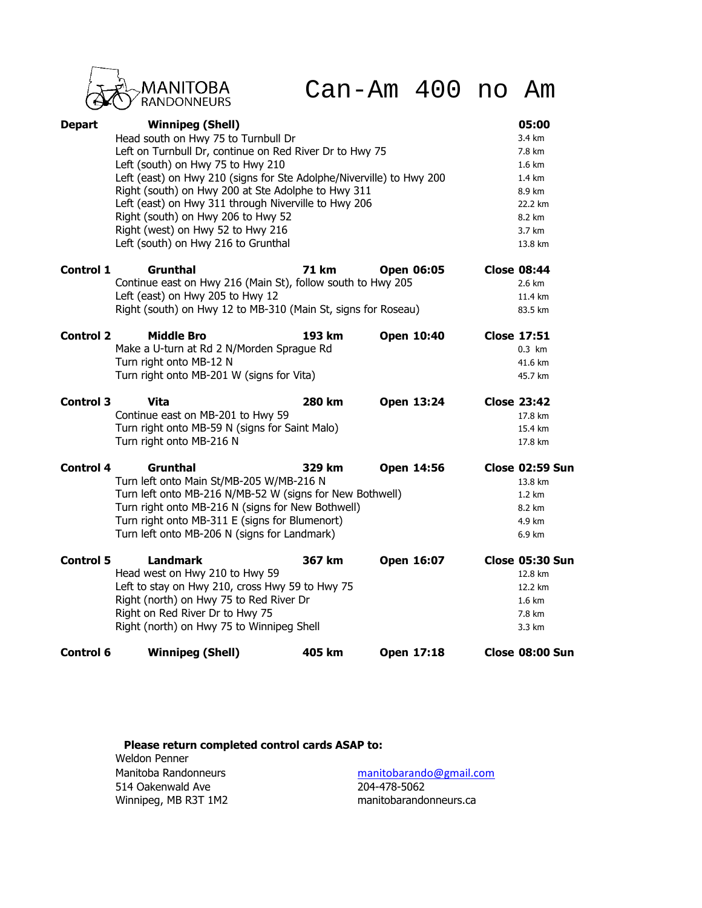

Can-Am 400 no Am

| <b>Depart</b>    | <b>Winnipeg (Shell)</b><br>Head south on Hwy 75 to Turnbull Dr<br>Left on Turnbull Dr, continue on Red River Dr to Hwy 75<br>Left (south) on Hwy 75 to Hwy 210<br>Left (east) on Hwy 210 (signs for Ste Adolphe/Niverville) to Hwy 200<br>Right (south) on Hwy 200 at Ste Adolphe to Hwy 311<br>Left (east) on Hwy 311 through Niverville to Hwy 206<br>Right (south) on Hwy 206 to Hwy 52<br>Right (west) on Hwy 52 to Hwy 216 |              |                   | 05:00<br>3.4 km<br>7.8 km<br>1.6 km<br>$1.4 \text{ km}$<br>8.9 km<br>22.2 km<br>8.2 km<br>3.7 km |  |
|------------------|---------------------------------------------------------------------------------------------------------------------------------------------------------------------------------------------------------------------------------------------------------------------------------------------------------------------------------------------------------------------------------------------------------------------------------|--------------|-------------------|--------------------------------------------------------------------------------------------------|--|
| <b>Control 1</b> | Left (south) on Hwy 216 to Grunthal<br>Grunthal<br>Continue east on Hwy 216 (Main St), follow south to Hwy 205<br>Left (east) on Hwy 205 to Hwy 12<br>Right (south) on Hwy 12 to MB-310 (Main St, signs for Roseau)                                                                                                                                                                                                             | <b>71 km</b> | <b>Open 06:05</b> | 13.8 km<br><b>Close 08:44</b><br>2.6 km<br>11.4 km<br>83.5 km                                    |  |
| <b>Control 2</b> | <b>Middle Bro</b><br>Make a U-turn at Rd 2 N/Morden Sprague Rd<br>Turn right onto MB-12 N<br>Turn right onto MB-201 W (signs for Vita)                                                                                                                                                                                                                                                                                          | 193 km       | Open 10:40        | <b>Close 17:51</b><br>$0.3$ km<br>41.6 km<br>45.7 km                                             |  |
| <b>Control 3</b> | <b>Vita</b><br>Continue east on MB-201 to Hwy 59<br>Turn right onto MB-59 N (signs for Saint Malo)<br>Turn right onto MB-216 N                                                                                                                                                                                                                                                                                                  | 280 km       | Open 13:24        | <b>Close 23:42</b><br>17.8 km<br>15.4 km<br>17.8 km                                              |  |
| <b>Control 4</b> | Grunthal<br>Turn left onto Main St/MB-205 W/MB-216 N<br>Turn left onto MB-216 N/MB-52 W (signs for New Bothwell)<br>Turn right onto MB-216 N (signs for New Bothwell)<br>Turn right onto MB-311 E (signs for Blumenort)<br>Turn left onto MB-206 N (signs for Landmark)                                                                                                                                                         | 329 km       | Open 14:56        | Close 02:59 Sun<br>13.8 km<br>$1.2 \text{ km}$<br>8.2 km<br>4.9 km<br>6.9 km                     |  |
| <b>Control 5</b> | <b>Landmark</b><br>Head west on Hwy 210 to Hwy 59<br>Left to stay on Hwy 210, cross Hwy 59 to Hwy 75<br>Right (north) on Hwy 75 to Red River Dr<br>Right on Red River Dr to Hwy 75<br>Right (north) on Hwy 75 to Winnipeg Shell                                                                                                                                                                                                 | 367 km       | Open 16:07        | Close 05:30 Sun<br>12.8 km<br>12.2 km<br>1.6 km<br>7.8 km<br>3.3 km                              |  |
| <b>Control 6</b> | <b>Winnipeg (Shell)</b>                                                                                                                                                                                                                                                                                                                                                                                                         | 405 km       | Open 17:18        | Close 08:00 Sun                                                                                  |  |

**Please return completed control cards ASAP to:** Weldon Penner Manitoba Randonneurs manitobarando@gmail.com 514 Oakenwald Ave 204-478-5062<br>Winnipeg, MB R3T 1M2 manitobarando

manitobarandonneurs.ca